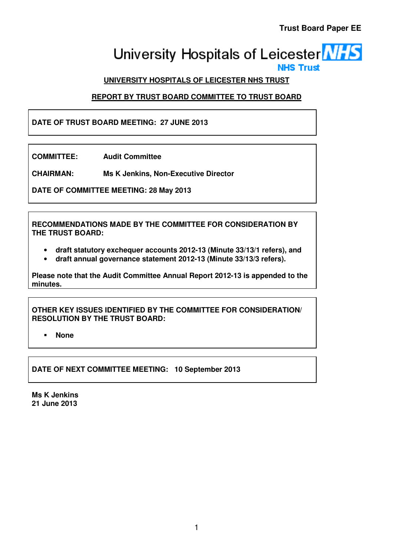# University Hospitals of Leicester **NHS**

# **UNIVERSITY HOSPITALS OF LEICESTER NHS TRUST**

# **REPORT BY TRUST BOARD COMMITTEE TO TRUST BOARD**

# **DATE OF TRUST BOARD MEETING: 27 JUNE 2013**

**COMMITTEE: Audit Committee** 

**CHAIRMAN: Ms K Jenkins, Non-Executive Director** 

**DATE OF COMMITTEE MEETING: 28 May 2013** 

**RECOMMENDATIONS MADE BY THE COMMITTEE FOR CONSIDERATION BY THE TRUST BOARD:** 

- **draft statutory exchequer accounts 2012-13 (Minute 33/13/1 refers), and**
- **draft annual governance statement 2012-13 (Minute 33/13/3 refers).**

**Please note that the Audit Committee Annual Report 2012-13 is appended to the minutes.** 

**OTHER KEY ISSUES IDENTIFIED BY THE COMMITTEE FOR CONSIDERATION/ RESOLUTION BY THE TRUST BOARD:** 

**None** 

**DATE OF NEXT COMMITTEE MEETING: 10 September 2013** 

**Ms K Jenkins 21 June 2013**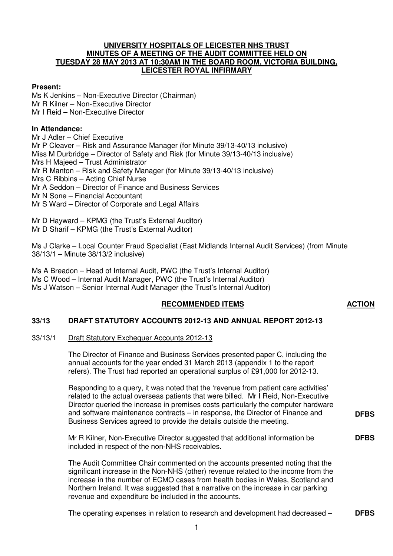#### **UNIVERSITY HOSPITALS OF LEICESTER NHS TRUST MINUTES OF A MEETING OF THE AUDIT COMMITTEE HELD ON TUESDAY 28 MAY 2013 AT 10:30AM IN THE BOARD ROOM, VICTORIA BUILDING, LEICESTER ROYAL INFIRMARY**

#### **Present:**

Ms K Jenkins – Non-Executive Director (Chairman) Mr R Kilner – Non-Executive Director Mr I Reid – Non-Executive Director

#### **In Attendance:**

Mr J Adler – Chief Executive Mr P Cleaver – Risk and Assurance Manager (for Minute 39/13-40/13 inclusive) Miss M Durbridge – Director of Safety and Risk (for Minute 39/13-40/13 inclusive) Mrs H Majeed – Trust Administrator Mr R Manton – Risk and Safety Manager (for Minute 39/13-40/13 inclusive) Mrs C Ribbins – Acting Chief Nurse Mr A Seddon – Director of Finance and Business Services Mr N Sone – Financial Accountant Mr S Ward – Director of Corporate and Legal Affairs

Mr D Hayward – KPMG (the Trust's External Auditor) Mr D Sharif – KPMG (the Trust's External Auditor)

Ms J Clarke – Local Counter Fraud Specialist (East Midlands Internal Audit Services) (from Minute 38/13/1 – Minute 38/13/2 inclusive)

Ms A Breadon – Head of Internal Audit, PWC (the Trust's Internal Auditor) Ms C Wood – Internal Audit Manager, PWC (the Trust's Internal Auditor) Ms J Watson – Senior Internal Audit Manager (the Trust's Internal Auditor)

#### **RECOMMENDED ITEMS ACTION**

# **33/13 DRAFT STATUTORY ACCOUNTS 2012-13 AND ANNUAL REPORT 2012-13**

# 33/13/1 Draft Statutory Exchequer Accounts 2012-13

The Director of Finance and Business Services presented paper C, including the annual accounts for the year ended 31 March 2013 (appendix 1 to the report refers). The Trust had reported an operational surplus of £91,000 for 2012-13.

Responding to a query, it was noted that the 'revenue from patient care activities' related to the actual overseas patients that were billed. Mr I Reid, Non-Executive Director queried the increase in premises costs particularly the computer hardware and software maintenance contracts – in response, the Director of Finance and Business Services agreed to provide the details outside the meeting. **DFBS**

Mr R Kilner, Non-Executive Director suggested that additional information be included in respect of the non-NHS receivables. **DFBS**

The Audit Committee Chair commented on the accounts presented noting that the significant increase in the Non-NHS (other) revenue related to the income from the increase in the number of ECMO cases from health bodies in Wales, Scotland and Northern Ireland. It was suggested that a narrative on the increase in car parking revenue and expenditure be included in the accounts.

The operating expenses in relation to research and development had decreased – **DFBS**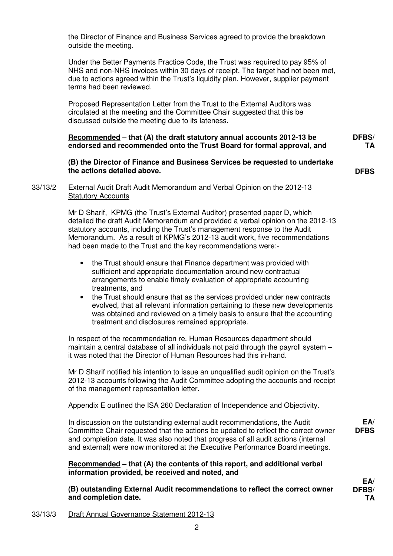the Director of Finance and Business Services agreed to provide the breakdown outside the meeting.

Under the Better Payments Practice Code, the Trust was required to pay 95% of NHS and non-NHS invoices within 30 days of receipt. The target had not been met, due to actions agreed within the Trust's liquidity plan. However, supplier payment terms had been reviewed.

Proposed Representation Letter from the Trust to the External Auditors was circulated at the meeting and the Committee Chair suggested that this be discussed outside the meeting due to its lateness.

#### **Recommended – that (A) the draft statutory annual accounts 2012-13 be endorsed and recommended onto the Trust Board for formal approval, and DFBS/**

**(B) the Director of Finance and Business Services be requested to undertake the actions detailed above.** 

**DFBS**

**TA**

#### 33/13/2 External Audit Draft Audit Memorandum and Verbal Opinion on the 2012-13 Statutory Accounts

 Mr D Sharif, KPMG (the Trust's External Auditor) presented paper D, which detailed the draft Audit Memorandum and provided a verbal opinion on the 2012-13 statutory accounts, including the Trust's management response to the Audit Memorandum. As a result of KPMG's 2012-13 audit work, five recommendations had been made to the Trust and the key recommendations were:-

- the Trust should ensure that Finance department was provided with sufficient and appropriate documentation around new contractual arrangements to enable timely evaluation of appropriate accounting treatments, and
- the Trust should ensure that as the services provided under new contracts evolved, that all relevant information pertaining to these new developments was obtained and reviewed on a timely basis to ensure that the accounting treatment and disclosures remained appropriate.

In respect of the recommendation re. Human Resources department should maintain a central database of all individuals not paid through the payroll system – it was noted that the Director of Human Resources had this in-hand.

Mr D Sharif notified his intention to issue an unqualified audit opinion on the Trust's 2012-13 accounts following the Audit Committee adopting the accounts and receipt of the management representation letter.

Appendix E outlined the ISA 260 Declaration of Independence and Objectivity.

 In discussion on the outstanding external audit recommendations, the Audit Committee Chair requested that the actions be updated to reflect the correct owner and completion date. It was also noted that progress of all audit actions (internal and external) were now monitored at the Executive Performance Board meetings.

**Recommended – that (A) the contents of this report, and additional verbal information provided, be received and noted, and** 

**(B) outstanding External Audit recommendations to reflect the correct owner and completion date.** 

**EA/ DFBS**

**EA/ DFBS/ TA**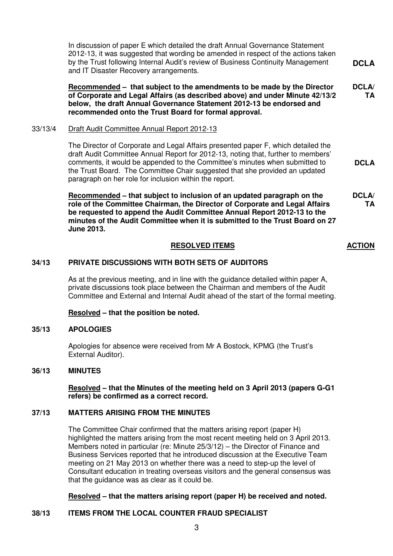In discussion of paper E which detailed the draft Annual Governance Statement 2012-13, it was suggested that wording be amended in respect of the actions taken by the Trust following Internal Audit's review of Business Continuity Management and IT Disaster Recovery arrangements. **DCLA**

**Recommended – that subject to the amendments to be made by the Director of Corporate and Legal Affairs (as described above) and under Minute 42/13/2 below, the draft Annual Governance Statement 2012-13 be endorsed and recommended onto the Trust Board for formal approval. DCLA/ TA**

**DCLA**

**TA**

#### 33/13/4 Draft Audit Committee Annual Report 2012-13

 The Director of Corporate and Legal Affairs presented paper F, which detailed the draft Audit Committee Annual Report for 2012-13, noting that, further to members' comments, it would be appended to the Committee's minutes when submitted to the Trust Board. The Committee Chair suggested that she provided an updated paragraph on her role for inclusion within the report.

**Recommended – that subject to inclusion of an updated paragraph on the role of the Committee Chairman, the Director of Corporate and Legal Affairs be requested to append the Audit Committee Annual Report 2012-13 to the minutes of the Audit Committee when it is submitted to the Trust Board on 27 June 2013. DCLA/**

#### **RESOLVED ITEMS ACTION**

#### **34/13 PRIVATE DISCUSSIONS WITH BOTH SETS OF AUDITORS**

As at the previous meeting, and in line with the guidance detailed within paper A, private discussions took place between the Chairman and members of the Audit Committee and External and Internal Audit ahead of the start of the formal meeting.

#### **Resolved – that the position be noted.**

#### **35/13 APOLOGIES**

Apologies for absence were received from Mr A Bostock, KPMG (the Trust's External Auditor).

#### **36/13 MINUTES**

 **Resolved – that the Minutes of the meeting held on 3 April 2013 (papers G-G1 refers) be confirmed as a correct record.** 

#### **37/13 MATTERS ARISING FROM THE MINUTES**

 The Committee Chair confirmed that the matters arising report (paper H) highlighted the matters arising from the most recent meeting held on 3 April 2013. Members noted in particular (re: Minute 25/3/12) – the Director of Finance and Business Services reported that he introduced discussion at the Executive Team meeting on 21 May 2013 on whether there was a need to step-up the level of Consultant education in treating overseas visitors and the general consensus was that the guidance was as clear as it could be.

#### **Resolved – that the matters arising report (paper H) be received and noted.**

#### **38/13 ITEMS FROM THE LOCAL COUNTER FRAUD SPECIALIST**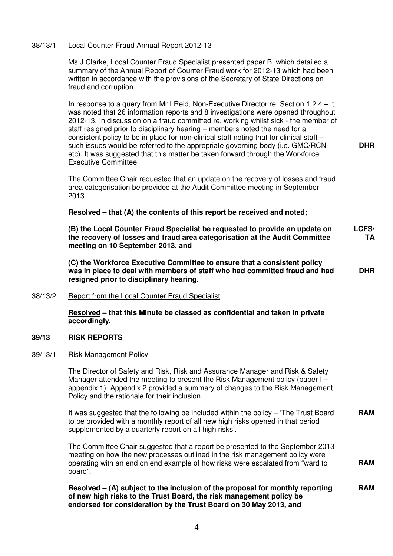#### 38/13/1 Local Counter Fraud Annual Report 2012-13

Ms J Clarke, Local Counter Fraud Specialist presented paper B, which detailed a summary of the Annual Report of Counter Fraud work for 2012-13 which had been written in accordance with the provisions of the Secretary of State Directions on fraud and corruption.

In response to a query from Mr I Reid, Non-Executive Director re. Section 1.2.4 – it was noted that 26 information reports and 8 investigations were opened throughout 2012-13. In discussion on a fraud committed re. working whilst sick - the member of staff resigned prior to disciplinary hearing – members noted the need for a consistent policy to be in place for non-clinical staff noting that for clinical staff  $$ such issues would be referred to the appropriate governing body (i.e. GMC/RCN etc). It was suggested that this matter be taken forward through the Workforce Executive Committee.

**DHR**

The Committee Chair requested that an update on the recovery of losses and fraud area categorisation be provided at the Audit Committee meeting in September 2013.

#### **Resolved – that (A) the contents of this report be received and noted;**

**(B) the Local Counter Fraud Specialist be requested to provide an update on the recovery of losses and fraud area categorisation at the Audit Committee meeting on 10 September 2013, and LCFS/ TA**

**(C) the Workforce Executive Committee to ensure that a consistent policy was in place to deal with members of staff who had committed fraud and had resigned prior to disciplinary hearing. DHR**

38/13/2 Report from the Local Counter Fraud Specialist

 **Resolved – that this Minute be classed as confidential and taken in private accordingly.** 

#### **39/13 RISK REPORTS**

#### 39/13/1 Risk Management Policy

The Director of Safety and Risk, Risk and Assurance Manager and Risk & Safety Manager attended the meeting to present the Risk Management policy (paper I – appendix 1). Appendix 2 provided a summary of changes to the Risk Management Policy and the rationale for their inclusion.

It was suggested that the following be included within the policy – 'The Trust Board to be provided with a monthly report of all new high risks opened in that period supplemented by a quarterly report on all high risks'. **RAM**

The Committee Chair suggested that a report be presented to the September 2013 meeting on how the new processes outlined in the risk management policy were operating with an end on end example of how risks were escalated from "ward to board". **RAM**

 **Resolved – (A) subject to the inclusion of the proposal for monthly reporting of new high risks to the Trust Board, the risk management policy be endorsed for consideration by the Trust Board on 30 May 2013, and RAM**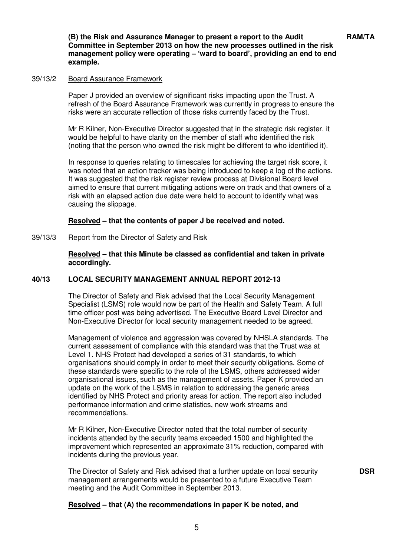**DSR**

**(B) the Risk and Assurance Manager to present a report to the Audit Committee in September 2013 on how the new processes outlined in the risk management policy were operating – 'ward to board', providing an end to end example.** 

#### 39/13/2 Board Assurance Framework

Paper J provided an overview of significant risks impacting upon the Trust. A refresh of the Board Assurance Framework was currently in progress to ensure the risks were an accurate reflection of those risks currently faced by the Trust.

Mr R Kilner, Non-Executive Director suggested that in the strategic risk register, it would be helpful to have clarity on the member of staff who identified the risk (noting that the person who owned the risk might be different to who identified it).

In response to queries relating to timescales for achieving the target risk score, it was noted that an action tracker was being introduced to keep a log of the actions. It was suggested that the risk register review process at Divisional Board level aimed to ensure that current mitigating actions were on track and that owners of a risk with an elapsed action due date were held to account to identify what was causing the slippage.

 **Resolved – that the contents of paper J be received and noted.** 

#### 39/13/3 Report from the Director of Safety and Risk

 **Resolved – that this Minute be classed as confidential and taken in private accordingly.** 

#### **40/13 LOCAL SECURITY MANAGEMENT ANNUAL REPORT 2012-13**

The Director of Safety and Risk advised that the Local Security Management Specialist (LSMS) role would now be part of the Health and Safety Team. A full time officer post was being advertised. The Executive Board Level Director and Non-Executive Director for local security management needed to be agreed.

Management of violence and aggression was covered by NHSLA standards. The current assessment of compliance with this standard was that the Trust was at Level 1. NHS Protect had developed a series of 31 standards, to which organisations should comply in order to meet their security obligations. Some of these standards were specific to the role of the LSMS, others addressed wider organisational issues, such as the management of assets. Paper K provided an update on the work of the LSMS in relation to addressing the generic areas identified by NHS Protect and priority areas for action. The report also included performance information and crime statistics, new work streams and recommendations.

Mr R Kilner, Non-Executive Director noted that the total number of security incidents attended by the security teams exceeded 1500 and highlighted the improvement which represented an approximate 31% reduction, compared with incidents during the previous year.

The Director of Safety and Risk advised that a further update on local security management arrangements would be presented to a future Executive Team meeting and the Audit Committee in September 2013.

#### **Resolved – that (A) the recommendations in paper K be noted, and**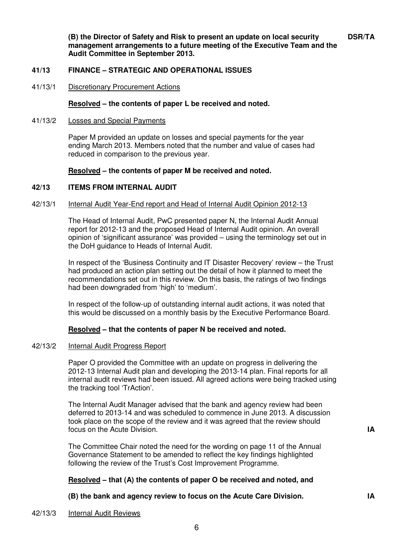**(B) the Director of Safety and Risk to present an update on local security management arrangements to a future meeting of the Executive Team and the Audit Committee in September 2013.** 

#### **41/13 FINANCE – STRATEGIC AND OPERATIONAL ISSUES**

41/13/1 Discretionary Procurement Actions

#### **Resolved – the contents of paper L be received and noted.**

41/13/2 Losses and Special Payments

Paper M provided an update on losses and special payments for the year ending March 2013. Members noted that the number and value of cases had reduced in comparison to the previous year.

#### **Resolved – the contents of paper M be received and noted.**

#### **42/13 ITEMS FROM INTERNAL AUDIT**

#### 42/13/1 Internal Audit Year-End report and Head of Internal Audit Opinion 2012-13

 The Head of Internal Audit, PwC presented paper N, the Internal Audit Annual report for 2012-13 and the proposed Head of Internal Audit opinion. An overall opinion of 'significant assurance' was provided – using the terminology set out in the DoH guidance to Heads of Internal Audit.

 In respect of the 'Business Continuity and IT Disaster Recovery' review – the Trust had produced an action plan setting out the detail of how it planned to meet the recommendations set out in this review. On this basis, the ratings of two findings had been downgraded from 'high' to 'medium'.

 In respect of the follow-up of outstanding internal audit actions, it was noted that this would be discussed on a monthly basis by the Executive Performance Board.

#### **Resolved – that the contents of paper N be received and noted.**

#### 42/13/2 Internal Audit Progress Report

 Paper O provided the Committee with an update on progress in delivering the 2012-13 Internal Audit plan and developing the 2013-14 plan. Final reports for all internal audit reviews had been issued. All agreed actions were being tracked using the tracking tool 'TrAction'.

 The Internal Audit Manager advised that the bank and agency review had been deferred to 2013-14 and was scheduled to commence in June 2013. A discussion took place on the scope of the review and it was agreed that the review should focus on the Acute Division. **IA**

 The Committee Chair noted the need for the wording on page 11 of the Annual Governance Statement to be amended to reflect the key findings highlighted following the review of the Trust's Cost Improvement Programme.

#### **Resolved – that (A) the contents of paper O be received and noted, and**

#### **(B) the bank and agency review to focus on the Acute Care Division. IA**

#### 42/13/3 Internal Audit Reviews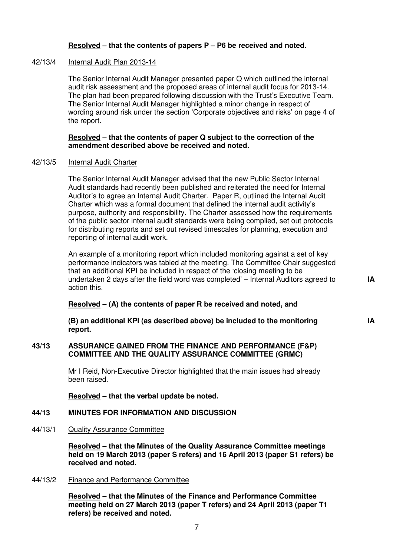#### **Resolved – that the contents of papers P – P6 be received and noted.**

#### 42/13/4 Internal Audit Plan 2013-14

The Senior Internal Audit Manager presented paper Q which outlined the internal audit risk assessment and the proposed areas of internal audit focus for 2013-14. The plan had been prepared following discussion with the Trust's Executive Team. The Senior Internal Audit Manager highlighted a minor change in respect of wording around risk under the section 'Corporate objectives and risks' on page 4 of the report.

#### **Resolved – that the contents of paper Q subject to the correction of the amendment described above be received and noted.**

### 42/13/5 Internal Audit Charter

The Senior Internal Audit Manager advised that the new Public Sector Internal Audit standards had recently been published and reiterated the need for Internal Auditor's to agree an Internal Audit Charter. Paper R, outlined the Internal Audit Charter which was a formal document that defined the internal audit activity's purpose, authority and responsibility. The Charter assessed how the requirements of the public sector internal audit standards were being complied, set out protocols for distributing reports and set out revised timescales for planning, execution and reporting of internal audit work.

An example of a monitoring report which included monitoring against a set of key performance indicators was tabled at the meeting. The Committee Chair suggested that an additional KPI be included in respect of the 'closing meeting to be undertaken 2 days after the field word was completed' – Internal Auditors agreed to action this.

**IA**

**IA**

#### **Resolved – (A) the contents of paper R be received and noted, and**

**(B) an additional KPI (as described above) be included to the monitoring report.** 

#### **43/13 ASSURANCE GAINED FROM THE FINANCE AND PERFORMANCE (F&P) COMMITTEE AND THE QUALITY ASSURANCE COMMITTEE (GRMC)**

Mr I Reid, Non-Executive Director highlighted that the main issues had already been raised.

 **Resolved – that the verbal update be noted.** 

### **44/13 MINUTES FOR INFORMATION AND DISCUSSION**

44/13/1 Quality Assurance Committee

 **Resolved – that the Minutes of the Quality Assurance Committee meetings held on 19 March 2013 (paper S refers) and 16 April 2013 (paper S1 refers) be received and noted.** 

#### 44/13/2 Finance and Performance Committee

 **Resolved – that the Minutes of the Finance and Performance Committee meeting held on 27 March 2013 (paper T refers) and 24 April 2013 (paper T1 refers) be received and noted.**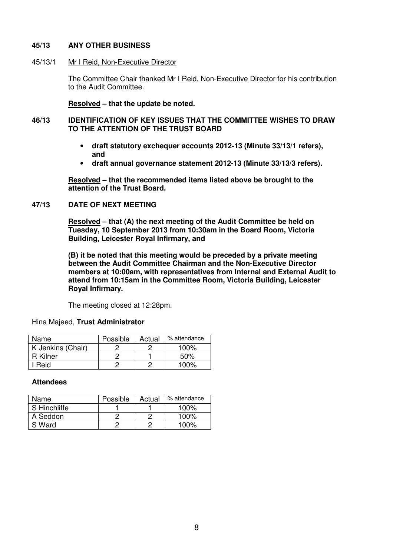#### **45/13 ANY OTHER BUSINESS**

45/13/1 Mr I Reid, Non-Executive Director

The Committee Chair thanked Mr I Reid, Non-Executive Director for his contribution to the Audit Committee.

 **Resolved – that the update be noted.** 

#### **46/13 IDENTIFICATION OF KEY ISSUES THAT THE COMMITTEE WISHES TO DRAW TO THE ATTENTION OF THE TRUST BOARD**

- **draft statutory exchequer accounts 2012-13 (Minute 33/13/1 refers), and**
- **draft annual governance statement 2012-13 (Minute 33/13/3 refers).**

 **Resolved – that the recommended items listed above be brought to the attention of the Trust Board.** 

#### **47/13 DATE OF NEXT MEETING**

 **Resolved – that (A) the next meeting of the Audit Committee be held on Tuesday, 10 September 2013 from 10:30am in the Board Room, Victoria Building, Leicester Royal Infirmary, and** 

**(B) it be noted that this meeting would be preceded by a private meeting between the Audit Committee Chairman and the Non-Executive Director members at 10:00am, with representatives from Internal and External Audit to attend from 10:15am in the Committee Room, Victoria Building, Leicester Royal Infirmary.** 

The meeting closed at 12:28pm.

Hina Majeed, **Trust Administrator** 

| Name              | Possible | Actual | % attendance |
|-------------------|----------|--------|--------------|
| K Jenkins (Chair) |          |        | 100%         |
| R Kilner          |          |        | 50%          |
| Reid              |          |        | 100%         |

#### **Attendees**

| Name         | Possible | Actual | % attendance |
|--------------|----------|--------|--------------|
| S Hinchliffe |          |        | $100\%$      |
| A Seddon     |          |        | 100%         |
| S Ward       |          |        | $100\%$      |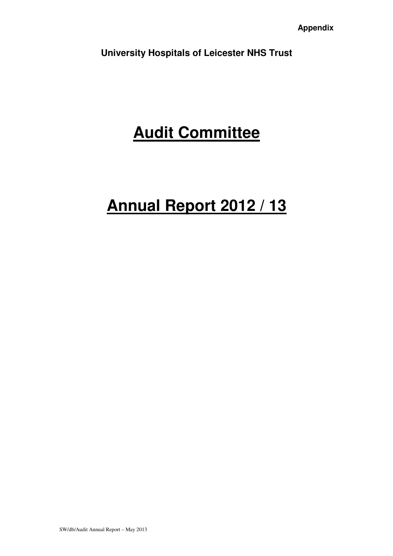**University Hospitals of Leicester NHS Trust** 

# **Audit Committee**

# **Annual Report 2012 / 13**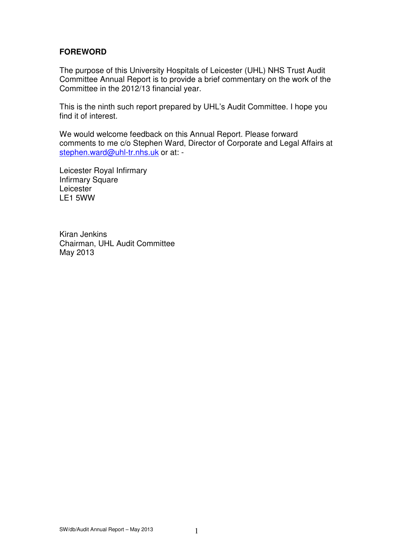# **FOREWORD**

The purpose of this University Hospitals of Leicester (UHL) NHS Trust Audit Committee Annual Report is to provide a brief commentary on the work of the Committee in the 2012/13 financial year.

This is the ninth such report prepared by UHL's Audit Committee. I hope you find it of interest.

We would welcome feedback on this Annual Report. Please forward comments to me c/o Stephen Ward, Director of Corporate and Legal Affairs at stephen.ward@uhl-tr.nhs.uk or at: -

Leicester Royal Infirmary Infirmary Square Leicester LE1 5WW

Kiran Jenkins Chairman, UHL Audit Committee May 2013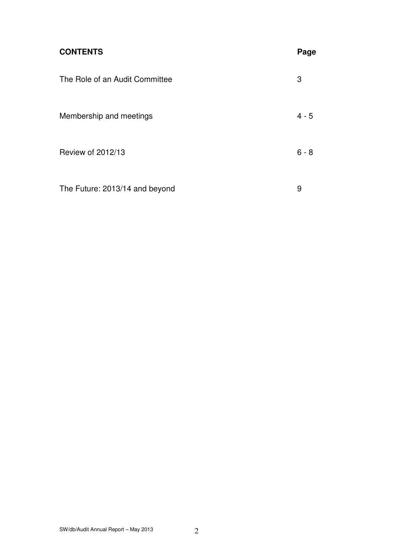| <b>CONTENTS</b>                | Page    |
|--------------------------------|---------|
| The Role of an Audit Committee | 3       |
| Membership and meetings        | $4 - 5$ |
| Review of 2012/13              | $6 - 8$ |
| The Future: 2013/14 and beyond | 9       |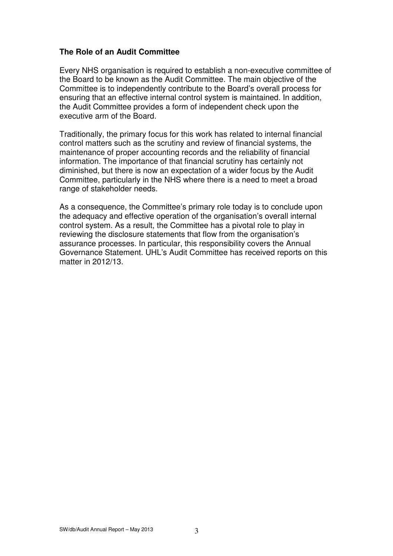## **The Role of an Audit Committee**

Every NHS organisation is required to establish a non-executive committee of the Board to be known as the Audit Committee. The main objective of the Committee is to independently contribute to the Board's overall process for ensuring that an effective internal control system is maintained. In addition, the Audit Committee provides a form of independent check upon the executive arm of the Board.

Traditionally, the primary focus for this work has related to internal financial control matters such as the scrutiny and review of financial systems, the maintenance of proper accounting records and the reliability of financial information. The importance of that financial scrutiny has certainly not diminished, but there is now an expectation of a wider focus by the Audit Committee, particularly in the NHS where there is a need to meet a broad range of stakeholder needs.

As a consequence, the Committee's primary role today is to conclude upon the adequacy and effective operation of the organisation's overall internal control system. As a result, the Committee has a pivotal role to play in reviewing the disclosure statements that flow from the organisation's assurance processes. In particular, this responsibility covers the Annual Governance Statement. UHL's Audit Committee has received reports on this matter in 2012/13.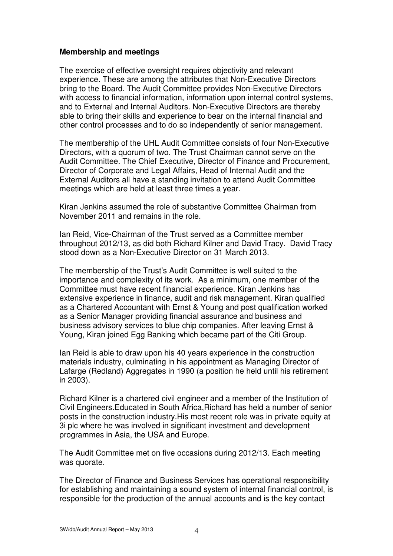### **Membership and meetings**

The exercise of effective oversight requires objectivity and relevant experience. These are among the attributes that Non-Executive Directors bring to the Board. The Audit Committee provides Non-Executive Directors with access to financial information, information upon internal control systems, and to External and Internal Auditors. Non-Executive Directors are thereby able to bring their skills and experience to bear on the internal financial and other control processes and to do so independently of senior management.

The membership of the UHL Audit Committee consists of four Non-Executive Directors, with a quorum of two. The Trust Chairman cannot serve on the Audit Committee. The Chief Executive, Director of Finance and Procurement, Director of Corporate and Legal Affairs, Head of Internal Audit and the External Auditors all have a standing invitation to attend Audit Committee meetings which are held at least three times a year.

Kiran Jenkins assumed the role of substantive Committee Chairman from November 2011 and remains in the role.

Ian Reid, Vice-Chairman of the Trust served as a Committee member throughout 2012/13, as did both Richard Kilner and David Tracy. David Tracy stood down as a Non-Executive Director on 31 March 2013.

The membership of the Trust's Audit Committee is well suited to the importance and complexity of its work. As a minimum, one member of the Committee must have recent financial experience. Kiran Jenkins has extensive experience in finance, audit and risk management. Kiran qualified as a Chartered Accountant with Ernst & Young and post qualification worked as a Senior Manager providing financial assurance and business and business advisory services to blue chip companies. After leaving Ernst & Young, Kiran joined Egg Banking which became part of the Citi Group.

Ian Reid is able to draw upon his 40 years experience in the construction materials industry, culminating in his appointment as Managing Director of Lafarge (Redland) Aggregates in 1990 (a position he held until his retirement in 2003).

Richard Kilner is a chartered civil engineer and a member of the Institution of Civil Engineers.Educated in South Africa,Richard has held a number of senior posts in the construction industry.His most recent role was in private equity at 3i plc where he was involved in significant investment and development programmes in Asia, the USA and Europe.

The Audit Committee met on five occasions during 2012/13. Each meeting was quorate.

The Director of Finance and Business Services has operational responsibility for establishing and maintaining a sound system of internal financial control, is responsible for the production of the annual accounts and is the key contact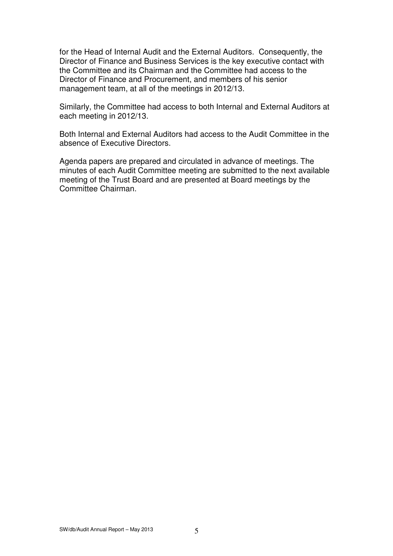for the Head of Internal Audit and the External Auditors. Consequently, the Director of Finance and Business Services is the key executive contact with the Committee and its Chairman and the Committee had access to the Director of Finance and Procurement, and members of his senior management team, at all of the meetings in 2012/13.

Similarly, the Committee had access to both Internal and External Auditors at each meeting in 2012/13.

Both Internal and External Auditors had access to the Audit Committee in the absence of Executive Directors.

Agenda papers are prepared and circulated in advance of meetings. The minutes of each Audit Committee meeting are submitted to the next available meeting of the Trust Board and are presented at Board meetings by the Committee Chairman.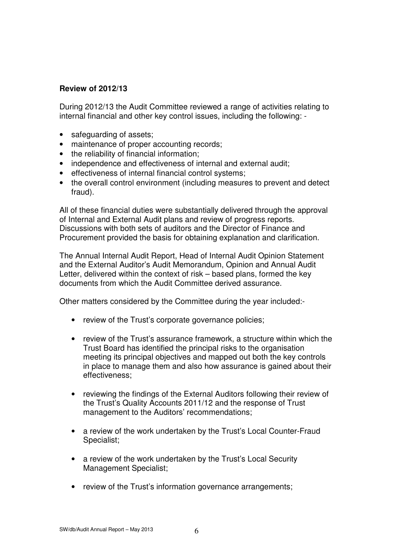# **Review of 2012/13**

During 2012/13 the Audit Committee reviewed a range of activities relating to internal financial and other key control issues, including the following: -

- safeguarding of assets;
- maintenance of proper accounting records;
- the reliability of financial information;
- independence and effectiveness of internal and external audit;
- effectiveness of internal financial control systems;
- the overall control environment (including measures to prevent and detect fraud).

All of these financial duties were substantially delivered through the approval of Internal and External Audit plans and review of progress reports. Discussions with both sets of auditors and the Director of Finance and Procurement provided the basis for obtaining explanation and clarification.

The Annual Internal Audit Report, Head of Internal Audit Opinion Statement and the External Auditor's Audit Memorandum, Opinion and Annual Audit Letter, delivered within the context of risk – based plans, formed the key documents from which the Audit Committee derived assurance.

Other matters considered by the Committee during the year included:-

- review of the Trust's corporate governance policies;
- review of the Trust's assurance framework, a structure within which the Trust Board has identified the principal risks to the organisation meeting its principal objectives and mapped out both the key controls in place to manage them and also how assurance is gained about their effectiveness;
- reviewing the findings of the External Auditors following their review of the Trust's Quality Accounts 2011/12 and the response of Trust management to the Auditors' recommendations;
- a review of the work undertaken by the Trust's Local Counter-Fraud Specialist;
- a review of the work undertaken by the Trust's Local Security Management Specialist;
- review of the Trust's information governance arrangements;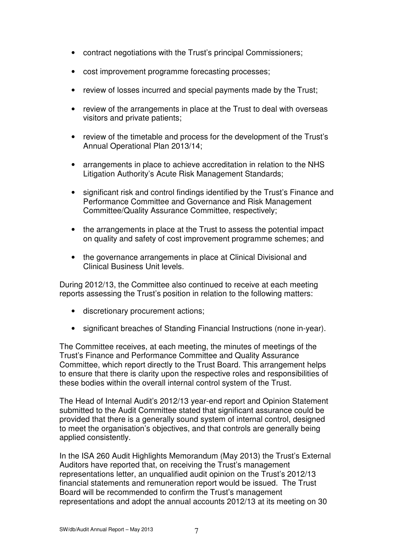- contract negotiations with the Trust's principal Commissioners;
- cost improvement programme forecasting processes;
- review of losses incurred and special payments made by the Trust;
- review of the arrangements in place at the Trust to deal with overseas visitors and private patients;
- review of the timetable and process for the development of the Trust's Annual Operational Plan 2013/14;
- arrangements in place to achieve accreditation in relation to the NHS Litigation Authority's Acute Risk Management Standards;
- significant risk and control findings identified by the Trust's Finance and Performance Committee and Governance and Risk Management Committee/Quality Assurance Committee, respectively;
- the arrangements in place at the Trust to assess the potential impact on quality and safety of cost improvement programme schemes; and
- the governance arrangements in place at Clinical Divisional and Clinical Business Unit levels.

During 2012/13, the Committee also continued to receive at each meeting reports assessing the Trust's position in relation to the following matters:

- discretionary procurement actions;
- significant breaches of Standing Financial Instructions (none in-year).

The Committee receives, at each meeting, the minutes of meetings of the Trust's Finance and Performance Committee and Quality Assurance Committee, which report directly to the Trust Board. This arrangement helps to ensure that there is clarity upon the respective roles and responsibilities of these bodies within the overall internal control system of the Trust.

The Head of Internal Audit's 2012/13 year-end report and Opinion Statement submitted to the Audit Committee stated that significant assurance could be provided that there is a generally sound system of internal control, designed to meet the organisation's objectives, and that controls are generally being applied consistently.

In the ISA 260 Audit Highlights Memorandum (May 2013) the Trust's External Auditors have reported that, on receiving the Trust's management representations letter, an unqualified audit opinion on the Trust's 2012/13 financial statements and remuneration report would be issued. The Trust Board will be recommended to confirm the Trust's management representations and adopt the annual accounts 2012/13 at its meeting on 30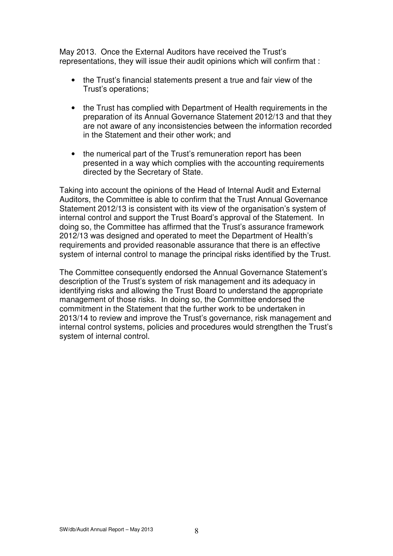May 2013. Once the External Auditors have received the Trust's representations, they will issue their audit opinions which will confirm that :

- the Trust's financial statements present a true and fair view of the Trust's operations;
- the Trust has complied with Department of Health requirements in the preparation of its Annual Governance Statement 2012/13 and that they are not aware of any inconsistencies between the information recorded in the Statement and their other work; and
- the numerical part of the Trust's remuneration report has been presented in a way which complies with the accounting requirements directed by the Secretary of State.

Taking into account the opinions of the Head of Internal Audit and External Auditors, the Committee is able to confirm that the Trust Annual Governance Statement 2012/13 is consistent with its view of the organisation's system of internal control and support the Trust Board's approval of the Statement. In doing so, the Committee has affirmed that the Trust's assurance framework 2012/13 was designed and operated to meet the Department of Health's requirements and provided reasonable assurance that there is an effective system of internal control to manage the principal risks identified by the Trust.

The Committee consequently endorsed the Annual Governance Statement's description of the Trust's system of risk management and its adequacy in identifying risks and allowing the Trust Board to understand the appropriate management of those risks. In doing so, the Committee endorsed the commitment in the Statement that the further work to be undertaken in 2013/14 to review and improve the Trust's governance, risk management and internal control systems, policies and procedures would strengthen the Trust's system of internal control.